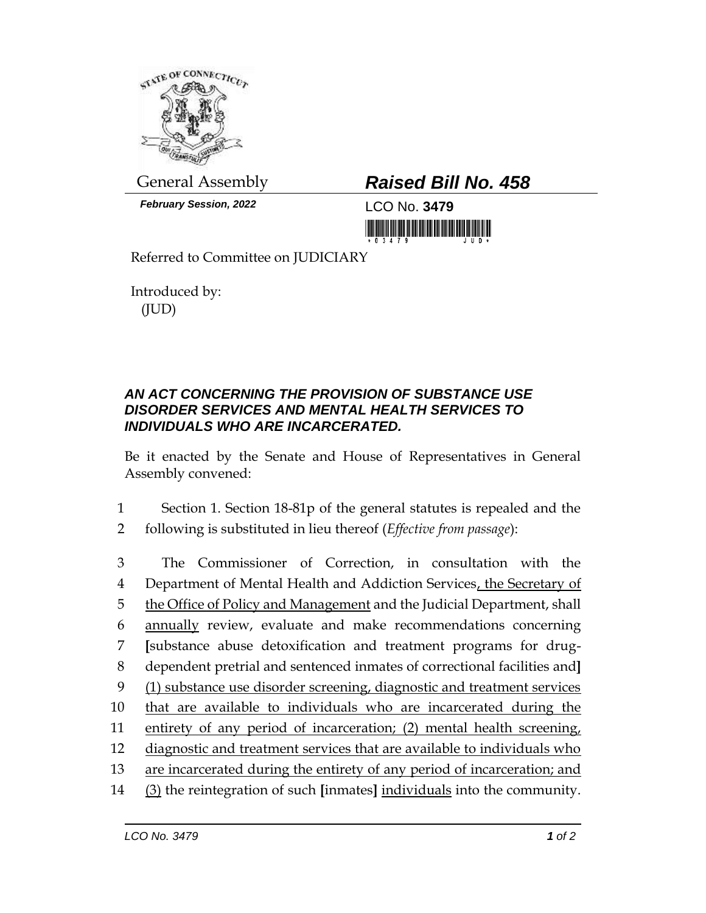

*February Session, 2022* LCO No. **3479**

## General Assembly *Raised Bill No. 458*

<u>Tin ini ini ini ini ini mamamani n</u>

Referred to Committee on JUDICIARY

Introduced by: (JUD)

## *AN ACT CONCERNING THE PROVISION OF SUBSTANCE USE DISORDER SERVICES AND MENTAL HEALTH SERVICES TO INDIVIDUALS WHO ARE INCARCERATED.*

Be it enacted by the Senate and House of Representatives in General Assembly convened:

1 Section 1. Section 18-81p of the general statutes is repealed and the 2 following is substituted in lieu thereof (*Effective from passage*):

 The Commissioner of Correction, in consultation with the Department of Mental Health and Addiction Services, the Secretary of the Office of Policy and Management and the Judicial Department, shall annually review, evaluate and make recommendations concerning **[**substance abuse detoxification and treatment programs for drug- dependent pretrial and sentenced inmates of correctional facilities and**]** (1) substance use disorder screening, diagnostic and treatment services that are available to individuals who are incarcerated during the entirety of any period of incarceration; (2) mental health screening, diagnostic and treatment services that are available to individuals who are incarcerated during the entirety of any period of incarceration; and (3) the reintegration of such **[**inmates**]** individuals into the community.